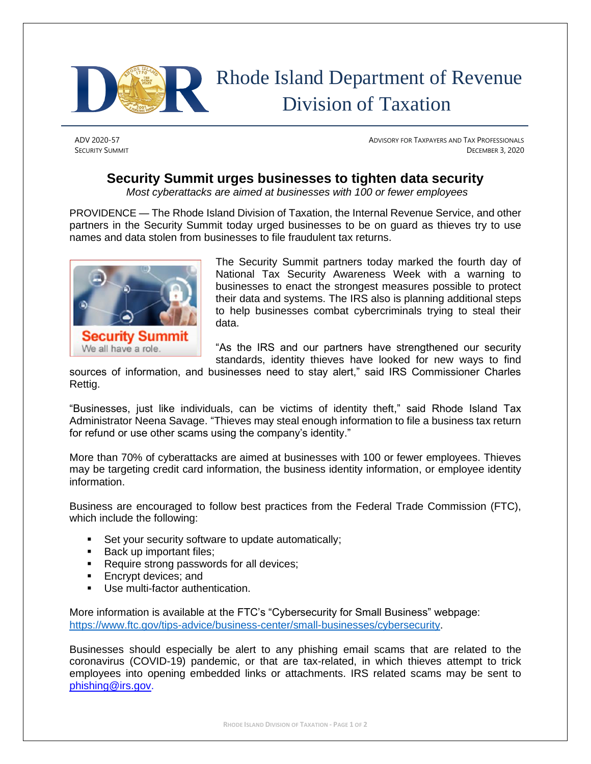

## Rhode Island Department of Revenue Division of Taxation

ADV 2020-57 ADVISORY FOR TAXPAYERS AND TAX PROFESSIONALS **SECURITY SUMMIT** DECEMBER 3, 2020

## **Security Summit urges businesses to tighten data security**

*Most cyberattacks are aimed at businesses with 100 or fewer employees*

PROVIDENCE — The Rhode Island Division of Taxation, the Internal Revenue Service, and other partners in the Security Summit today urged businesses to be on guard as thieves try to use names and data stolen from businesses to file fraudulent tax returns.



The Security Summit partners today marked the fourth day of National Tax Security Awareness Week with a warning to businesses to enact the strongest measures possible to protect their data and systems. The IRS also is planning additional steps to help businesses combat cybercriminals trying to steal their data.

"As the IRS and our partners have strengthened our security standards, identity thieves have looked for new ways to find

sources of information, and businesses need to stay alert," said IRS Commissioner Charles Rettig.

"Businesses, just like individuals, can be victims of identity theft," said Rhode Island Tax Administrator Neena Savage. "Thieves may steal enough information to file a business tax return for refund or use other scams using the company's identity."

More than 70% of cyberattacks are aimed at businesses with 100 or fewer employees. Thieves may be targeting credit card information, the business identity information, or employee identity information.

Business are encouraged to follow best practices from the Federal Trade Commission (FTC), which include the following:

- Set your security software to update automatically;
- Back up important files;
- Require strong passwords for all devices;
- Encrypt devices; and
- Use multi-factor authentication.

More information is available at the FTC's "Cybersecurity for Small Business" webpage: [https://www.ftc.gov/tips-advice/business-center/small-businesses/cybersecurity.](https://www.ftc.gov/tips-advice/business-center/small-businesses/cybersecurity)

Businesses should especially be alert to any phishing email scams that are related to the coronavirus (COVID-19) pandemic, or that are tax-related, in which thieves attempt to trick employees into opening embedded links or attachments. IRS related scams may be sent to [phishing@irs.gov.](mailto:phishing@irs.gov)